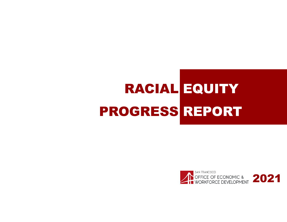# RACIAL EQUITY PROGRESS REPORT

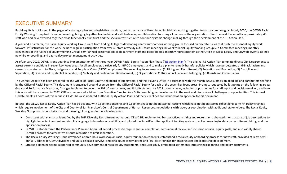# EXECUTIVE SUMMARY

Racial equity is not forged in the pages of a strategic plan and a legislative mandate, but in the hands of like-minded individuals working together toward a common goal. In July 2020, the OEWD Racial Equity Working Group had its second meeting, bringing together leadership and staff to develop a collaboration touching all corners of the organization. Over the next five months, approximately 40 staff who had never worked together cross-functionally built trust and the social infrastructure to continue systems change-making through the development of the RE Action Plan.

A year and a half later, the Racial Equity Working Group went from finding its legs to developing nearly autonomous working groups focused on discrete issues that push the essential equity work forward. Infrastructure for the work includes regular participation from over 40 staff in weekly CORE team meetings, bi-weekly Racial Equity Working Group Sub-Committee meetings, monthly convenings of the full Racial Equity Working Group, semi-annual presentations to department staff and policy bodies, monthly representation at the Office of Racial Equity and Citywide events, ad-hoc new hire onboarding, and day-to-day project management activities.

As of January 2022, OEWD is one year into implementation of the three-year OEWD Racial Equity Action Plan Phase ("[RE Action Plan](https://oewd.org/sites/default/files/ECN%20Racial%20Equity%20Plan_Phase%201%20-%2012.31.20.pdf)"). The original RE Action Plan template directs City Departments to assess current conditions in seven key focus areas for all employees, particularly for BIPOC employees, and to make a plan to remedy harmful policies which have perpetuated anti-Black racism and caused disparate harm to Black, Indigenous, and People of Color (BIPOC) employees. The seven key focus areas are: (1) Hiring and Recruitment, (2) Retention and Promotion, (3) Discipline and Separation, (4) Diverse and Equitable Leadership, (5) Mobility and Professional Development, (6) Organizational Culture of Inclusion and Belonging, (7) Boards and Commissions.

This Annual Update has been prepared for the Office of Racial Equity, the Board of Supervisors, and the Mayor's Office in accordance with the March 2022 submission deadline and parameters set forth by the Office of Racial Equity. This document is organized around prompts from the Office of Racial Equity for each of the seven key focus areas. Prompts requested bullet points on the following areas: Goals and Performance Measures, Changes Implemented over the 2021 Calendar Year, and Priority Actions for 2022 calendar year, including opportunities for staff input and decision-making, and how this work will be resourced in 2022. ORE also requested a letter from Executive Director Kate Sofis describing her involvement in the work and discussion of challenges or opportunities. This Annual Update meets all points of this request. OEWD has also updated its Racial Equity Action Plan, and the v.2 redlines are included as an appendix to this document.

In total, the OEWD Racial Equity Action Plan has 95 actions, with 73 actions ongoing, and 22 actions have not been started. Actions which have not been started reflect long-term HR policy changes which require involvement of the City and County of San Francisco's Central Department of Human Resources, negotiations with labor, or coordination with additional stakeholders. The Racial Equity Working Group has made substantial and meaningful progress in the following areas:

- Consistent with standards identified by the DHR Diversity Recruitment workgroup, OEWD HR implemented best practices in hiring and recruitment, changed the structure of job descriptions to highlight important content and simplify language to broaden accessibility, and piloted the SmartRecruiter applicant tracking system to collect meaningful data on recruitment, hiring, and the application process.
- OEWD HR standardized the Performance Plan and Appraisal Report process to require annual completion, semi-annual review, and inclusion of racial equity goals, and also widely shared OEWD's process for alternative dispute resolution to limit separation.
- The Racial Equity Working Group developed a three-hour workshop on racial equity foundation concepts, established a racial equity onboarding process for new staff, provided at-least semiannual updates to OEWD divisions and units, released surveys, and catalogued external free and low-cost trainings for ongoing staff and leadership development.
- Strategic planning teams supported community development of racial equity statements, and successfully embedded statements into strategic planning and policy documents.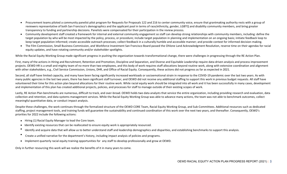- Procurement teams piloted a community panelist pilot program for Requests for Proposals 122 and 216 to center community voice, ensure that grantmaking authority rests with a group of reviewers representative of both San Francisco's demographics and the applicant pool in terms of race/ethnicity, gender, LGBTQ and disability community members, and bring greater transparency to funding and partnership decisions. Panelists were compensated for their participation in the review process.
- Community development staff created a framework for internal and external community engagement so staff can develop strong relationships with community members, including: define the target population by who will be most impacted by the policy, process, or procedure; include target population in planning and implementation on an ongoing basis; initiate feedback loop to keep target population informed; create accessible outreach processes; collect feedback in a culturally humble and accessible manner; and provide context for informed decision-making.
- The Film Commission, Small Business Commission, and Workforce Investment San Francisco Board passed the Ohlone Land Acknowledgment Resolution, reserve time on their agendas for racial equity updates, and have rotating community and/or stakeholder spotlights.

While the Racial Equity Working Group made significant progress in pushing the organization towards transformational change, there were challenges in progressing through the RE Action Plan.

First, many of the actions in Hiring and Recruitment, Retention and Promotion, Discipline and Separation, and Diverse and Equitable Leadership require data-driven analysis and process improvement projects. OEWD HR is a small and mighty team of no more than two employees, and this body of work requires staff allocations beyond routine work, along with extensive coordination and alignment with other stakeholders, e.g., Civil Service Commission, Unions, DHR, and Office of Racial Equity. Consequently, these actions did not progress as far as expected in 2021.

Second, all staff have limited capacity, and many have been facing significantly increased workloads or socioemotional strain in response to the COVID-19 pandemic over the last two years. As with many public agencies in the last two years, there has been significant staff turnover, and OEWD did not receive any additional staffing to support this work in previous budget requests. All staff have volunteered their time for this action plan beyond allocations for their routine work. While racial equity work should be integrated into all work and it has been successfully in many cases, development and implementation of this plan has created additional projects, policies, and processes for staff to manage outside of their existing scopes of work.

Lastly, RE Action Plan benchmarks are numerous, difficult to track, and over-broad. OEWD holds two data analysts that service the entire organization, including providing research and evaluation, data collection and retention, and data systems management services. While the Racial Equity Working Group was able to advance many actions, the team was not able to benchmark outcomes, collect meaningful quantitative data, or conduct impact analysis.

Despite these challenges, the work continues through the formalized structure of the OEWD CORE Team, Racial Equity Working Group, and Sub-Committees. Additional resources such as dedicated staffing, project management tools, and training funds will guarantee the sustainability and continued coordination of this work over the next two years, and thereafter. Consequently, OEWD's priorities for 2022 include the following actions:

- Hiring (1) Racial Equity Manager to lead the Core team.
- Identify existing resources that can be reallocated to ensure equity work is appropriately resourced.
- Identify and acquire data that will allow us to better understand staff and leadership demographics and disparities, and establishing benchmarks to support this analysis.
- Create a unified narrative for the department's history, including impact analysis of policies and programs.
- Implement quarterly racial equity training opportunities for any staff to develop professionally and grow at OEWD.

Only in further resourcing this work will we realize the benefits of it in many years to come.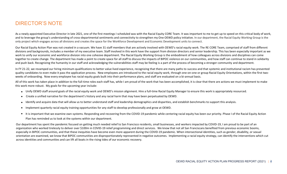# DIRECTOR'S NOTE

As a newly appointed Executive Director in late 2021, one of the first meetings I scheduled was with the Racial Equity CORE Team. It was important to me to get up to speed on this critical body of work, and to leverage the group's understanding of cross-departmental sentiments and connectivity to strengthen my One OEWD policy initiative. In our department, the Racial Equity Working Group is the only project which engages across all divisions and creates the space for the Workforce Development and Economic Development units to connect.

Our Racial Equity Action Plan was not created in a vacuum. We have 31 staff members that are actively involved with OEWD's racial equity work. The RE CORE Team, comprised of staff from different divisions and backgrounds, includes a member of my executive team. Staff involved in this work have the support from division directors and senior leadership. This has been especially important as we work to unify our economic and workforce division into one cohesive department. The Racial Equity Working Group is the embodiment of how colleagues across divisions and disciplines can come together to create change. The department has made a point to create space for all staff to discuss the impacts of BIPOC violence on our communities, and how staff can continue to stand in solidarity and push back. Recognizing the humanity in our staff and acknowledging the vulnerabilities staff may be feeling is a part of the process of becoming a stronger community and department.

In FY 21-22, we revamped our hiring minimum qualifications to better value lived experience, recognizing that there are many paths to success and that systemic and institutional racism has prevented quality candidates to even make it pass the application process. New employees are introduced to the racial equity work, through one-on-one or group Racial Equity Orientations, within the first twoweeks of onboarding. Now every employee has racial equity goals built into their performance plans, and staff are evaluated on a bi-annual basis.

All of this work has taken place in addition to the full-time roles each staff has, while I am proud of the work that has been accomplished, it is clear that there are actions we must implement to make this work more robust. My goals for the upcoming year include:

- Unify OEWD staff around goals of the racial equity work and OEWD's mission alignment. Hire a full-time Racial Equity Manager to ensure this work is appropriately resourced.
- Create a unified narrative for the department's history and any racial harm that may have been perpetuated by OEWD.
- Identify and acquire data that will allow us to better understand staff and leadership demographics and disparities, and establish benchmarks to support this analysis.
- Implement quarterly racial equity training opportunities for any staff to develop professionally and grow at OEWD.
- It is important that we examine own systems. Responding and recovering from the COVID-19 pandemic while centering racial equity has been our priority. Phase I of the Racial Equity Action Plan has reminded us to look at the systems within our department.

Our department has spent the pandemic focused on getting much needed relief to San Francisco residents, small businesses, and workers impacted by COVID-19, I am proud to be part of an organization who worked tirelessly to deliver over \$100m in COVID-19 relief programming and direct services. We know that not all San Franciscans benefited from previous economic booms, especially in BIPOC communities, and that these inequities have become even more apparent during the COVID-19 pandemic. When intersectional identities, such as gender, disability, or sexual orientation are examined, we know that BIPOC communities are disproportionately represented in negative outcomes. Implementing a racial equity strategy, can identify the interventions which cut across identities and communities and can lift all boats in the rising tides of our economic recovery.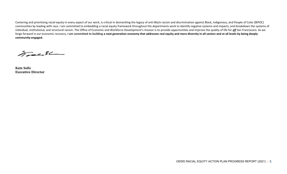Centering and prioritizing racial equity in every aspect of our work, is critical in dismantling the legacy of anti-Black racism and discrimination against Black, Indigenous, and People of Color (BIPOC) communities by leading with race. I am committed to embedding a racial equity framework throughout the departments work to identify negative systems and impacts, and breakdown the systems of individual, institutional, and structural racism. The Office of Economic and Workforce Development's mission is to provide opportunities and improve the quality of life for *all* San Franciscans. As we forge forward in our economic recovery, **I am committed to building a next generation economy that addresses real equity and more diversity in all sectors and at all levels by being deeply community-engaged.**

**Kate Sofis Executive Director**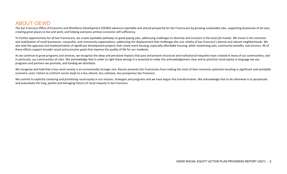# ABOUT OEWD

The San Francisco Office of Economic and Workforce Development (OEWD) advances equitable and shared prosperity for San Franciscans by growing sustainable jobs, supporting businesses of all sizes, creating great places to live and work, and helping everyone achieve economic self-sufficiency.

To further opportunities for all San Franciscans, we create equitable pathways to good paying jobs, addressing challenges to diversity and inclusion in the local job market. We invest in the retention and stabilization of small businesses, nonprofits, and community organizations, addressing the displacement that challenges the civic vitality of San Francisco's diverse and vibrant neighborhoods. We also lead the approval and implementation of significant development projects that create more housing, especially affordable housing, while maximizing jobs, community benefits, and services. All of these efforts support broader social and economic goals that improve the quality of life for our residents.

As we continue to grow programs and services, we recognize the deep and pervasive impacts that past and present structural and institutional inequities have created in many of our communities, and in particular, our communities of color. We acknowledge that in order to right these wrongs it is essential to make this acknowledgement clear and to prioritize racial equity in language we use, programs and partners we promote, and funding we distribute.

We recognize and hold that a less racist society is an economically stronger one. Racism prevents San Franciscans from making the most of their economic potential resulting in significant and avoidable economic costs. Failure to confront racism leads to a less vibrant, less cohesive, less prosperous San Francisco.

We commit to explicitly centering and prioritizing racial equity in our mission, strategies and programs and we have begun this transformation. We acknowledge that to do otherwise is to perpetuate and exacerbate the long, painful and damaging history of racial inequity in San Francisco.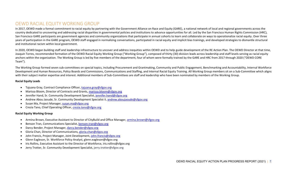# OEWD RACIAL EQUITY WORKING GROUP

In 2017, OEWD made a formal commitment to racial equity by partnering with the Government Alliance on Race and Equity (GARE), a national network of local and regional governments across the country dedicated to uncovering and addressing racial disparities in governmental policies and institutions to advance opportunities for all. Led by the San Francisco Human Rights Commission (HRC), San Francisco GARE participants are government agencies and community organizations that participate in annual cohorts to learn and collaborate on ways to operationalize racial equity. Over three years of participation in the GARE program, OEWD staff engaged in normalizing conversations, participated in racial equity and implicit bias trainings, and developed strategies to dismantle structural and institutional racism within local government.

In 2020, OEWD began building staff and leadership infrastructure to uncover and address inequities within OEWD and to help guide development of the RE Action Plan. The OEWD Director at that time, Joaquín Torres, recommended formation of the OEWD Racial Equity Working Group ("Working Group"), composed of thirty (30) division leads across leadership and staff levels serving as racial equity anchors within the organization. The Working Group is led by five members of the department, four of whom were formally trained by the GARE and HRC from 2017 through 2020 ("OEWD CORE Team").

The Working Group formed seven sub-committees on special topics, including Procurement and Grantmaking, Community and Public Engagement, Benchmarking and Accountability, Internal Workforce Development and Human Resources, Policy Boards and Commissions, Communications and Staffing, and Internal Racial Equity Training. All Working Group members sit on a Sub-Committee which aligns with their subject matter expertise and interest. Additional members of Sub-Committees are staff and leadership who have been nominated by members of the Working Group.

#### **Racial Equity Leads**

- Tajuana Gray, Contract Compliance Officer, [tajuana.gray@sfgov.org](mailto:tajuana.gray@sfgov.org)
- Marissa Bloom, Director of Contracts and Grants, [marissa.bloom@sfgov.org](mailto:marissa.bloom@sfgov.org)
- Jennifer Hand, Sr. Community Development Specialist, [jennifer.hand@sfgov.org](mailto:jennifer.hand@sfgov.org)
- Andrew Abou Jaoude, Sr. Community Development Specialist II, [andrew.aboujaoude@sfgov.org](mailto:andrew.aboujaoude@sfgov.org)
- Susan Ma, Project Manager, [susan.ma@sfgov.org](mailto:susan.ma@sfgov.org)
- Crezia Tano, Chief Operating Officer, [crezia.tano@sfgov.org](mailto:crezia.tano@sfgov.org)

#### **Racial Equity Working Group**

- Armina Brown, Executive Assistant to Director of CityBuild and Office Manager, [armina.brown@sfgov.org](mailto:armina.brown@sfgov.org)
- Benson Tran, Communications Specialist, [benson.tran@sfgov.org](mailto:benson.tran@sfgov.org)
- Darcy Bender, Project Manager, [darcy.bender@sfgov.org](mailto:darcy.bender@sfgov.org)
- Gloria Chan, Director of Communications, [gloria.chan@sfgov.org](mailto:gloria.chan@sfgov.org)
- John Francis, Project Manager, Joint Development, [john.francis@sfgov.org](mailto:john.francis@sfgov.org)
- Glenn Eagleson, Sr. Workforce Policy Analyst, glenn.eagleson@sfgov.org
- Iris Rollins, Executive Assistant to the Director of Workforce, iris.rollins@sfgov.org
- Jerry Trotter, Sr. Community Development Specialist, [jerry.trotter@sfgov.org](mailto:jerry.trotter@sfgov.org)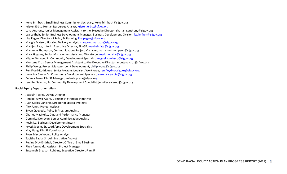- Kerry Birnbach, Small Business Commission Secretary, kerry.birnbach@sfgov.org
- Kristen Erbst, Human Resources Analyst, [kristen.erbst@sfgov.org](mailto:kristen.erbst@sfgov.org)
- Lana Anthony, Junior Management Assistant to the Executive Director, sharlana.anthony@sfgov.org
- Lex Leifheit, Senior Business Development Manager, Business Development Division, [lex.leifheit@sfgov.org](mailto:lex.leifheit@sfgov.org)
- Lisa Pagan, Director of Policy & Planning[, lisa.pagan@sfgov.org](mailto:lisa.pagan@sfgov.org)
- Maggie Matson, Housing Delivery Analyst, [margaret.mattson@sfgov.org](mailto:margaret.mattson@sfgov.org)
- Manijeh Fata, Interim Executive Director, FilmSF, [manijeh.fata@sfgov.org](mailto:manijeh.fata@sfgov.org)
- Marianne Thompson, Communications Project Manager, [marianne.thompson@sfgov.org](mailto:marianne.thompson@sfgov.org)
- Mark Hogains, Senior Management Assistant, Workforce[, mark.hogains@sfgov.org](mailto:mark.hogains@sfgov.org)
- Miguel Velasco, Sr. Community Development Specialist, [miguel.a.velasco@sfgov.org](mailto:miguel.a.velasco@sfgov.org)
- Montana Cruz, Senior Management Assistant to the Executive Director, montana.cruz@sfgov.org
- Philip Wong, Project Manager, Joint Development, [philip.wong@sfgov.org](mailto:philip.wong@sfgov.org)
- Ren Floyd-Rodriguez, Senior Program Specialist , Workforce, [ren.floyd-rodriguez@sfgov.org](mailto:ren.floyd-rodriguez@sfgov.org)
- Veronica Garcia, Sr. Community Development Specialist, [veronica.garcia@sfgov.org](mailto:veronica.garcia@sfgov.org)
- Zefania Preza, FilmSF Manager, [zefania.preza@sfgov.org](mailto:zefania.preza@sfgov.org)
- Jennifer Salerno, Sr. Community Development Specialist, jennifer.salerno@sfgov.org

#### **Racial Equity Department Alum**

- Joaquín Torres, OEWD Director
- Amabel Akwa-Asare, Director of Strategic Initiatives
- Juan Carlos Cancino, Director of Special Projects
- Alex Jones, Project Assistant
- Bryan Quevedo, Policy & Program Analyst
- Charles MacNulty, Data and Performance Manager
- Dominica Donovan, Senior Administrative Analyst
- Kevin Lo, Business Development Intern
- Krysti Specht, Sr. Workforce Development Specialist
- May Liang, FilmSF Coordinator
- Ryan Briscoe Young, Policy Analyst
- Tabitha Tapia, Sr. Administrative Analyst
- Regina Dick-Endrizzi, Director, Office of Small Business
- Rhea Aguinaldo, Assistant Project Manager
- Susannah Greason Robbins, Executive Director, Film SF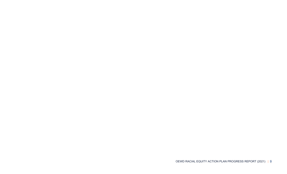OEWD RACIAL EQUITY ACTION PLAN PROGRESS REPORT (2021) | 9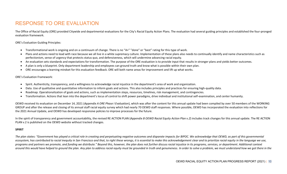# RESPONSE TO ORE EVALUATION

The Office of Racial Equity (ORE) provided Citywide and departmental evaluations for the City's Racial Equity Action Plans. The evaluation had several guiding principles and established the four-pronged evaluation framework.

ORE's Evaluation Guiding Principles:

- Transformational work is ongoing and on a continuum of change. There is no "A+" "done" or "best" rating for this type of work.
- Plans and actions need to lead with race because we all live in a white supremacy culture. Implementation of these plans also needs to continually identify and name characteristics such as perfectionism, sense of urgency that protects status quo, and defensiveness, which will undermine advancing racial equity.
- An evaluation sets standards and expectations for transformation. The purpose of the ORE evaluation is to provide input that results in stronger plans and yields better outcomes.
- A plan is only a blueprint. Only department leadership and employees can ground truth and know what is possible within their own plan.
- ORE encourages a learning mindset for this evaluation feedback. ORE will both name areas for improvement and lift up what works.

ORE's Evaluation Framework:

- Spirit. Authenticity, transparency, and a willingness to acknowledge racial injustice in the department's area of work and organization.
- Data. Use of qualitative and quantitative information to inform goals and actions. This also includes principles and practices for ensuring high-quality data.
- Roadmap. Operationalization of goals and actions, such as implementation steps, resources, timelines, risk management, and contingencies.
- Transformation. Actions that lean into the department's locus of control to shift power paradigms, drive individual and institutional self-examination, and center humanity.

OEWD received its evaluation on December 14, 2021 (*Appendix A ORE Phase I Evaluation*), which was after the content for this annual update had been compiled by over 50 members of the WORKING GROUP and after the release and closing of its annual staff racial equity survey which had nearly 70 OEWD staff responses. Where possible, OEWD has incorporated the evaluation into reflections for the 2021 Annual Update, and OEWD has developed responsive policies to improve processes for the future.

In the spirit of transparency and government accountability, the revised RE ACTION PLAN (*Appendix B OEWD Racial Equity Action Plan v.2*) includes track changes for this annual update. The RE ACTION PLAN v.2 is published on the OEWD website without tracked changes.

#### **SPIRIT**

The plan states: "Government has played a critical role in creating and perpetuating negative outcomes and disparate impacts for BIPOC. We acknowledge that OEWD, as part of this governmental *ecosystem, has contributed to racial inequity in San Francisco and that, to right these wrongs, it is essential to make this acknowledgement clear and to prioritize racial equity in the language we use, programs and partners we promote, and funding we distribute." Beyond this, however, the plan does not further discuss racial injustice in its programs, services, or department. Additional context*  around this would have helped to ground the plan. Any plan to address racial equity must be grounded in truth and genuineness. In order to solve a problem, we must understand how we got there in the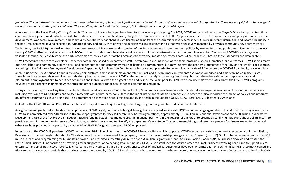first place. The department should demonstrate a clear understanding of how racial injustice is created within its sector of work, as well as within its organization. These are not yet fully acknowledged in *the narrative. In the words of James Baldwin: "Not everything that is faced can be changed, but nothing can be changed until it is faced."*

A core motto of the Racial Equity Working Group is "You need to know where you have been to know where you're going." In 2004, OEWD was formed under the Mayor's Office to support traditional economic development work, which purports to create wealth for communities through targeted economic investment. In the 15 years since the Great Recession, theory and policy around economic development, workforce development, and community benefit work has changed significantly as gains from the economic recovery across the U.S. were unevenly distributed, and income inequality in the Bay Area increased beyond expectation. Updated theory and policy shift power and decision-making to communities that were negatively impacted by previous community development work.

To that end, the Racial Equity Working Group attempted to establish a shared understanding of the department and its programs and policies by conducting ethnographic interviews with the longestserving OEWD staff—nearly all of whom are BIPOC—in order to understand the sociohistorical context of the department's work in communities of color. Discussion of OEWD's early days was validated through legislative history, and early programs and policies were matched against legislative documents or outcomes data, where available. Through these interviews and data analysis,

OEWD recognized that core stakeholders—whether community-based or department staff—often have opposing views of the same programs, policies, practices, and outcomes. OEWD serves many business, labor, and community stakeholders, and so benefits for one community may not benefit all communities, but may improve the economic outcomes of the City on the whole. For example, according to the California Employment Development Department, San Francisco County had a historically-unprecedented unemployment rate of 2.1% before the COVID-19 pandemic; however, data analysis using the U.S. American Community Survey demonstrates that the unemployment rate for Black and African American residents and Native American and American Indian residents was three times the average City unemployment rate during the same period. While OEWD's interventions to catalyze business growth, neighborhood-based investment, entrepreneurship, and placement in employment aim to benefit communities and individuals with the highest need and despite the years prior to COVID with low unemployment rates across the City, OEWD's programs have no realized changes in unemployment rates and other outcomes for all San Francisco communities equitably.

Though the Racial Equity Working Group conducted these initial interviews, OEWD's Impact Policy & communications Team intends to undertake an impact evaluation and historic context analysis including reviewing third-party data and written materials with a third-party consultant in the racial justice and strategic planning field in order to critically explore the impact of policies and programs on different communities in San Francisco. This commitment is identified here in this document, and again in the updated OEWD RE ACTION PLAN v. 2 located in *Appendix B*.

Outside of the OEWD RE Action Plan, OEWD embodied the spirit of racial equity in its grantmaking, programming, and talent development initiatives.

As a government grantor which funds external providers, OEWD largely contracts its budget to neighborhood-based services at BIPOC-led or -serving organizations. In addition to existing investments, OEWD also administered over \$10 million in Dream Keeper grantees to Black-led community-based organizations, approximately \$3.9 million in Economic Development and \$6.8 million in Workforce Development. Use of the flexible Dream Keeper Initiative funding established multiple program manager positions in the department, in order to provide culturally humble oversight of dollars meant to provide economic intervention in service of eradicating anti-Black racism and to diversify the department's workforce. The recruitment, hiring, and retention process for Dream Keeper Initiative and other new hires provided an opportunity to model RE ACTION PLAN goals to support BIPOC employees.

In response to the COVID-19 pandemic, OEWD funded over \$6.4 million investments in COVID-19 Resource Hubs which supported COVID-response efforts at community resource hubs in the Mission, Bayview, and Excelsior neighborhoods. The City also created its first zero interest loan program, the San Francisco Hardship Emergency Loan Program (SF HELP). SF HELP has now funded more than \$12 million in loans and programming for businesses citywide. San Francisco successfully delivered over \$4 million in grants and loans to Asian-Pacific Islander (API) businesses citywide and created the Latino Small Business Fund focused on providing similar support to Latino-serving small businesses. OEWD also established the African American Small Business Revolving Loan Fund to support microenterprises and small businesses historically underserved by private banks and other traditional sources of financing. AARLF funds have been prioritized for long-standing San Francisco Black-owned and Black-serving businesses, especially those businesses most impacted by COVID-19 including those whose operations have been severely limited since the Stay-at-Home Order was issued in March 2020,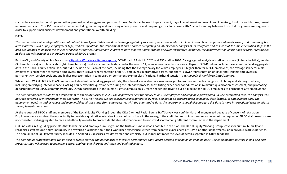such as hair salons, barber shops and other personal services, gyms and personal fitness. Funds can be used to pay for rent, payroll, equipment and machinery, inventory, furniture and fixtures, tenant improvements, and COVID-19 related expenses including marketing and improving online presence and reopening costs. In February 2022, all outstanding balances from that program were forgiven in order to support small business development and generational wealth building.

## **DATA**

*The plan provides minimal quantitative data about its workforce. While the data is disaggregated by race and gender, the analysis lacks an intersectional approach when discussing and comparing key data indicators such as pay, employment type, and classifications. The department should prioritize completing an intersectional analysis of its workforce and ensure that the implementation steps in the plan are updated to address the causes of specific disparities. Additionally, in order to have a better understanding of current workforce inequities, the department should use specific racial identities in its data analysis instead of generalizing across all BIPOC groups.*

Per the City and County of San Francisco's [Citywide Workforce Demographics](https://sfdhr.org/citywide-workforce-demographics), OEWD had 129 staff in 2021 and 136 staff in 2020. Disaggregated analysis of staff across race (7 characteristics), gender (3 characteristics), and classification (14 characteristics) produces identifiable data under the rule of 11, even when characteristics are collapsed. OEWD did not include these identifiable, disaggregated data in the Racial Equity Action Plan, but it did include discussion of the data, including that the average salary for White employees is higher than for BIPOC employees, the average salary for male employees is higher than for female employees, there is lower representation of BIPOC employees in promotive classes, and there is lower representation of Black and Hispanic employees in permanent civil service positions and higher representation in temporary or permanent exempt classifications. Further discussion is in *Appendix E Workforce Data Summary.*

While the OEWD RE ACTION PLAN does not include identifiable, disaggregated data, the internally available data was leveraged to produce verifiable changes to HR hiring and staffing practices, including diversifying interview panels, asking equity expertise question sets during the interview process, substituting experience for education in minimum qualification assessment, and promoting opportunities with BIPOC community groups. OEWD participated in the Human Rights Commission's Dream Keeper Initiative to build a pipeline for BIPOC employees to permanent City employment.

*The plan summarizes results from a department racial equity survey in 2020. The department sent the survey to all 124 employees and 89 people participated - a 72% completion rate. The analysis was*  not race-centered or intersectional in its approach. The survey results are not consistently disaggregated by race, and not at all disaggregated by gender, classification, or employment type. The *department needs to gather robust and meaningful qualitative data from employees. As with the quantitative data, the department should disaggregate this data in more intersectional ways to inform the implementation steps.*

At the request of BIPOC staff and members of the Racial Equity Working Group, the OEWD Annual Racial Equity Staff Survey was confidential and anonymized because of concern of retaliation. Employees were also given the opportunity to provide a qualitative interview instead of participate in the survey, if they felt discomfort in answering a survey. At the request of BIPOC staff, results were not consistently disaggregated by race and ethnicity in order to protect identifiable information and to not sow discord among different communities in the department.

ORE indicates in its guiding principles that leadership and employees must ground the truth and know what's possible in the plan. The Racial Equity Working Group strives for cultural humility and recognizes staff trauma and vulnerability in answering questions about their workplace experience, either from negative experiences at OEWD, at other departments, or in previous work experience. The Annual Racial Equity Staff Survey included in Appendix C discusses results by race and ethnicity, but it does not meet the level of detail suggested in ORE's feedback.

*The plan should state what data will be used to create metrics and dashboards to measure performance and support decision-making on an ongoing basis. The implementation steps should also note processes that will be used to maintain, secure, analyze, and share quantitative and qualitative data.*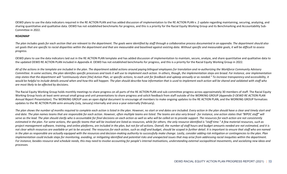OEWD plans to use the data indicators required in the RE ACTION PLAN and has added discussion of implementation to the RE ACTION PLAN v. 2 update regarding maintaining, securing, analyzing, and sharing quantitative and qualitative data. OEWD has not established benchmarks for progress, and this is a priority for the Racial Equity Working Group and its Benchmarking and Accountability Sub-Committee in 2022.

#### **ROADMAP**

*The plan includes goals for each section that are relevant to the department. The goals were identified by staff through a collaborative process documented in an appendix. The department should also set goals that are specific to racial disparities within the department and that are measurable and baselined against existing data. Without specific and measurable goals, it will be difficult to assess progress.*

OEWD plans to use the data indicators laid out in the RE ACTION PLAN template and has added discussion of implementation to maintain, secure, analyze, and share quantitative and qualitative data to the updated OEWD RE ACTION PLAN included in *Appendix A.* OEWD has not established benchmarks for progress, and this is a priority for the Racial Equity Working Group in 2022.

*All of the actions in the template are included in the plan. The department added actions around paying bilingual employees for translation and re-authorizing the Workforce Community Advisory Committee. In some sections, the plan identifies specific processes and tools it will use to implement each action. In others, though, the implementation steps are broad. For instance, one implementation step states that the department will "continuously share [the] Action Plan, or specific actions, to each unit for feedback and upkeep annually or as needed." To increase transparency and accessibility, it*  would be helpful to include details around when and how this will happen. The plan should describe how information that is used to implement each action will be shared and validated with staff who *are most likely to be affected by decisions.*

The Racial Equity Working Group holds monthly meetings to share progress on all parts of the RE ACTION PLAN and sub-committee progress across approximately 30 members of staff. The Racial Equity Working Group hosts at-least semi-annual small group and unit presentations to share progress and solicit feedback from staff outside of the WORKING GROUP (*Appendix D OEWD RE ACTION PLAN Annual Report Presentation*). The WORKING GROUP uses an open digital document to encourage all members to make ongoing updates to the RE ACTION PLAN, and the WORKING GROUP formalizes updates to the RE ACTION PLAN semi-annually (July, January) internally and once a year externally (February).

*The plan shows the number of months required to complete each action is listed in the plan. However, no start or end dates are included. Every action in the plan should have a clear and timely start and end date. The plan names teams that are responsible for each action. However, often multiple teams are listed. The teams are also very broad - for instance, one action states that "BIPOC staff" will serve as the lead. The plan should clarify who is accountable for final decisions on each action as well as who will be called on to provide support. The resources for each action are not consistently*  estimated in the plan. For some actions, the specific teams that will be involved are listed as resources, while for others, the only resource identified is "staff time." A few material resources, such as *project management software, training, and online platforms, are included in the plan, but not for all actions. Overall, the number of staff hours and budget amounts needed are not estimated, and it is*  not clear which resources are available or yet to be secured. The resources for each action, such as staff and budget, should be scoped in further detail. It is important to ensure that staff who are named *in the plan as responsible are actually equipped with the resources and decision-making authority to successfully make change. Lastly, consider adding risk mitigation or contingencies to the plan. Plan implementation could include steps for monitoring, avoiding, or mitigating identified and potential risks and unexpected issues that may arise from addressing racial inequities within the department.*  For instance, besides resource and schedule needs, this may need to involve accounting for people's internal motivations, understanding external sociopolitical movements, and socializing new ideas and *processes.*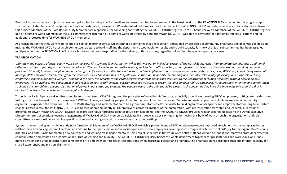Feedback around effective project management principles, including specific timelines and resources, has been resolved in the latest version of the RE ACTION PLAN attached to this progress report. The number of staff hours and budget amounts are not estimated; however, OEWD established task profiles for all members of the WORKING GROUP and sub-committees to track staff hours towards this project. Members of the Core Racial Equity team that are responsible for convening and staffing the WORKING GROUP register up to 10 hours per week. Members of the WORKING GROUP register up to 4 hours per week. Members of the sub-committees register up to 2 hours per week. Bolstered by data, the WORKING GROUP was able to advocate for additional staff classifications and for additional protected time for WORKING GROUP members.

As a consideration that this work requires specific subject matter expertise which cannot be contained in a single person, and guided by principles of community organizing and decentralized decisionmaking, the WORKING GROUP uses a sub-committee structure to hold itself and the department accountable for results and to build capacity for the work. Each sub-committee has been assigned multiple actions in the RE ACTION PLAN, and each sub-committee is responsible for the delivery of those actions, regardless of staffing changes or capacity concerns.

#### **TRANSFORMATION**

*Ultimately, the purpose of racial equity work is to move our City towards Transformation. While this was not an individual section of the Racial Equity Action Plan template, we offer these additional*  reflections to inform your department's continued work: The plan includes some creative actions, such as "intraoffice working groups focused on deconstructing racial traumas within government processes." Overall, however, the plan does not identify specific racial inequities to be addressed, and the implementation steps do not name or center issues facing BIPOC employees. Every aspect of *making BIPOC employees "net better off" in the workplace should be addressed in tangible ways in the plan: financially; emotionally and mentally; relationally; physically; and purposefully. Every employee is a person, not only a worker. Throughout the plan, the department delegates several important actions and decisions to the Department of Human Resources without describing how employees will be involved. The department should reflect on how to shift internal decision-making structures to repair trust and empower BIPOC employees. It requires both intention and commitment to change the harmful and unequal distribution of power in our status quo systems. The people closest to the pain should be closest to the power, as they have the knowledge and expertise that is required to address the department's racial equity challenges.*

Through the Racial Equity Working Group and its sub-committees, OEWD integrated the principles reflected in this feedback, especially around empowering BIPOC employees, shifting internal decisionmaking structures to repair trust and empower BIPOC employees, and making people closest to the pain closest to the power. Department leadership—many of whom are former community organizers—expressed the desire for RE ACTION PLAN strategy and implementation to be a ground-up, staff-led effort in order to build organizational capacity and empower staff for long-term system change. Consequently, the WORKING GROUP is composed of predominantly BIPOC employees across all divisions of the organization, with representation from staff and leadership. In terms of proximity to power, WORKING GROUP Division leads provide regular progress updates to Division leadership, and the WORKING GROUP provides regular progress updates to the OEWD Executive Director. In terms of solutions-focused engagement, all WORKING GROUP members participate in strategy and decision-making for moving this body of work through the organization, and subcommittees are responsible for leading specific actions and advising on workplace needs in small group settings.

Systems change-making work is inherently transformational. Members of the WORKING GROUP—which is predominantly BIPOC employees—report improved attachment to the workplace, better relationships with colleagues, and liberation at work due to their participation in the racial equity work. New employees have reported stronger attachment to OEWD, joy for the organization's equity priorities, and enthusiasm for meeting new colleagues and working cross-departmentally. This project is the first initiative OEWD's entire staff has worked on, and it has improved cross-departmental communication and created an organizational culture of learning and humility. The WORKING GROUP regularly brings the whole department together for presentations and workshops, and it has moved divisions and units to center race in meetings or to empower staff to ask critical questions when discussing policies and programs. The organization has also built trust and internal capacity for shared experiences and mission alignment.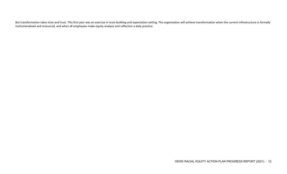But transformation takes time and trust. This first year was an exercise in trust-building and expectation setting. The organization will achieve transformation when the current infrastructure is formally institutionalized and resourced, and when all employees make equity analysis and reflection a daily practice.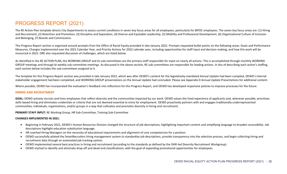# PROGRESS REPORT (2021)

The RE Action Plan template directs City Departments to assess current conditions in seven key focus areas for all employees, particularly for BIPOC employees. The seven key focus areas are: (1) Hiring and Recruitment, (2) Retention and Promotion, (3) Discipline and Separation, (4) Diverse and Equitable Leadership, (5) Mobility and Professional Development, (6) Organizational Culture of Inclusion and Belonging, (7) Boards and Commissions.

This Progress Report section is organized around prompts from the Office of Racial Equity provided in late January 2022. Prompts requested bullet points on the following areas: Goals and Performance Measures, Changes Implemented over the 2021 Calendar Year, and Priority Actions for 2022 calendar year, including opportunities for staff input and decision-making, and how this work will be resourced in 2022. ORE also requested discussion of challenges, which are listed below.

As identified in the RE ACTION PLAN, the WORKING GROUP and its sub-committees are the primary staff responsible for input on nearly all actions. This is accomplished through monthly WORKING GROUP meetings and through bi-weekly sub-committee meetings. As discussed in the above section, RE sub-committees are responsible for leading actions. In lieu of describing each action's staffing, each section below includes the sub-committees assigned to it.

The template for this Progress Report section was provided in late January 2022, which was after OEWD's content for the legislatively-mandated Annual Update had been compiled, OEWD's internal stakeholder engagement had been completed, and WORKING GROUP presentations on the Annual Update had concluded. Please see Appendix D Annual Update Presentations for additional content.

Where possible, OEWD has incorporated the evaluation's feedback into reflections for this Progress Report, and OEWD has developed responsive policies to improve processes for the future.

#### **HIRING AND RECRUITMENT**

GOAL: OEWD actively recruits and hires employees that reflect diversity and the communities impacted by our work. OEWD values the lived experience of applicants and, wherever possible, prioritizes skills-based hiring and eliminates credentials or criteria that are not deemed essential to entry for employment. OEWD proactively partners with and engages traditionally underrepresented communities, individuals, organizations, and/or groups in a way that cultivates and promotes diversity in hiring and recruitment.

**PRIMARY STAFF INPUT:** RE Working Group, HR Sub-Committee, Training Sub-Committee

#### **CHANGES IMPLEMENTED IN 2021:**

- Beginning in February 2021, OEWD's Human Resources Division changed the structure of job descriptions, highlighting important content and simplifying language to broaden accessibility. Job descriptions highlight education substitution language.
- HR coached Hiring Managers on the necessity of educational requirements and alignment of core competencies for a position.
- OEWD successfully piloted the SmartRecruiters hiring management system to standardize job descriptions, provide transparency into the selection process, and begin collecting hiring and recruitment data through an automated job tracking system.
- OEWD implemented several best practices in hiring and recruitment (according to the standards as defined by the DHR-led Diversity Recruitment Workgroup).
- OEWD started to identify and eliminate drop-off and dead-end classifications, with the goal of expanding promotional opportunities for employees.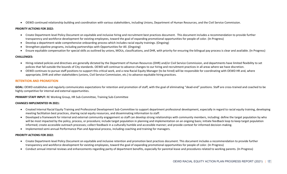• OEWD continued relationship building and coordination with various stakeholders, including Unions, Department of Human Resources, and the Civil Service Commission.

#### **PRIORITY ACTIONS FOR 2022:**

- Create Department-level Policy Document on equitable and inclusive hiring and recruitment best practices document. This document includes a recommendation to provide further transparency and workforce development for existing employees, toward the goal of expanding promotional opportunities for people of color. (In Progress)
- Develop a department-wide comprehensive onboarding process which includes racial equity trainings. (Ongoing)
- Strengthen pipeline programs, including partnerships with Opportunities for All. (Ongoing)
- Ensure equitable compensation for special skills as outlined by unions, MOUs, classifications, and DHR, with priority for ensuring the bilingual pay process is clear and available. (In Progress)

# **CHALLENGES:**

- Hiring-related policies and directives are generally dictated by the Department of Human Resources (DHR) and/or Civil Service Commission, and departments have limited flexibility to set policies that fall outside the bounds of City standards. OEWD will continue to advance changes to our hiring and recruitment practices in all areas where we have discretion.
- OEWD continues to pursue staff positions to support this critical work, and a new Racial Equity Manager (to be hired) will be responsible for coordinating with OEWD HR and, where appropriate, DHR and other stakeholders (unions, Civil Service Commission, etc.) to advance equitable hiring practices.

# **RETENTION AND PROMOTION**

GOAL: OEWD establishes and regularly communicates expectations for retention and promotion of staff, with the goal of eliminating "dead-end" positions. Staff are cross-trained and coached to be highly competitive for internal and external opportunities.

**PRIMARY STAFF INPUT:** RE Working Group, HR Sub-Committee, Training Sub-Committee

## **CHANGES IMPLEMENTED IN 2021:**

- Created Internal Racial Equity Training and Professional Development Sub-Committee to support department professional development, especially in regard to racial equity training, developing meeting facilitation best practices, sharing racial equity resources, and disseminating information to staff.
- Developed a framework for internal and external community engagement so staff can develop strong relationships with community members, including: define the target population by who will be most impacted by the policy, process, or procedure; include target population in planning and implementation on an ongoing basis; initiate feedback loop to keep target population informed; create accessible outreach processes; collect feedback in a culturally humble and accessible manner; and provide context for informed decision-making.
- Implemented semi-annual Performance Plan and Appraisal process, including coaching and training for managers.

#### **PRIORITY ACTIONS FOR 2022:**

- Create Department-level Policy Document on equitable and inclusive retention and promotion best practices document. This document includes a recommendation to provide further transparency and workforce development for existing employees, toward the goal of expanding promotional opportunities for people of color. (In Progress)
- Conduct annual internal reviews and enhancements regarding parity of department benefits, especially for parental leave and procedures related to working parents. (In Progress)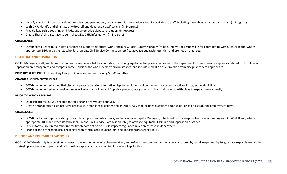- Identify standard factors considered for raises and promotions, and ensure this information is readily available to staff, including through management coaching. (In Progress)
- With DHR, identify and eliminate any drop-off and dead-end classifications. (In Progress)
- Provide leadership coaching on PPARs and alternative dispute resolution. (In Progress)
- Create SharePoint interface to centralize OEWD HR information. (In Progress)

# **CHALLENGES:**

• OEWD continues to pursue staff positions to support this critical work, and a new Racial Equity Manager (to be hired) will be responsible for coordinating with OEWD HR and, where appropriate, DHR and other stakeholders (unions, Civil Service Commission, etc.) to advance equitable retention and promotion practices.

# **DISCIPLINE AND SEPARATION**

GOAL: Managers, staff, and human resources personnel are held accountable to ensuring equitable disciplinary outcomes in the department. Human Resources policies related to discipline and separation are transparent and compassionate, consider the whole person's circumstances, and include mediation as a diversion from discipline where appropriate.

**PRIMARY STAFF INPUT:** RE Working Group, HR Sub-Committee, Training Sub-Committee

# **CHANGES IMPLEMENTED IN 2021:**

- OEWD implemented a modified discipline process by using alternative dispute resolution and continued the current practice of progressive discipline.
- OEWD implemented an annual and regular Performance Plan and Appraisal process, integrating coaching and training, with plans to expand semi-annually.

# **PRIORITY ACTIONS FOR 2022:**

- Establish internal OEWD separation tracking and analyze data annually.
- Create a standardized exit interview process with standard questions and an exit survey that includes questions about experienced biases during employment term.

# **CHALLENGES:**

- OEWD continues to pursue staff positions to support this critical work, and a new Racial Equity Manager (to be hired) will be responsible for coordinating with OEWD HR and, where appropriate, DHR and other stakeholders (unions, Civil Service Commission, etc.) to advance equitable discipline and separation practices.
- Lack of formal, routinized schedule for timely completion of PPARs impacts regular completion across the department.
- Financial and or technological challenges with centralized HR SharePoint site impacts transparency in HR.

# **DIVERSE AND EQUITABLE LEADERSHIP**

GOAL: OEWD leadership is accessible, approachable, trained on equity changemaking, and reflects the communities negatively impacted by racial inequities. Equity goals are explicitly set within strategic plans, team workplans, and individual workplans, and are executed in leadership priorities.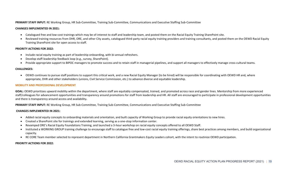#### **PRIMARY STAFF INPUT:** RE Working Group, HR Sub-Committee, Training Sub-Committee, Communications and Executive Staffing Sub-Committee

#### **CHANGES IMPLEMENTED IN 2021:**

- Catalogued free and low-cost trainings which may be of-interest to staff and leadership team, and posted them on the Racial Equity Training SharePoint site.
- Reviewed training resources from DHR, ORE, and other City assets, catalogued third-party racial equity training providers and training consultants, and posted them on the OEWD Racial Equity Training SharePoint site for open access to staff.

#### **PRIORITY ACTIONS FOR 2022:**

- Include racial equity training as part of leadership onboarding, with bi-annual refreshers.
- Develop staff-leadership feedback loop (e.g., survey, SharePoint).
- Provide appropriate support to BIPOC managers to promote success and to retain staff in managerial pipelines, and support all managers to effectively manage cross-cultural teams.

# **CHALLENGES:**

• OEWD continues to pursue staff positions to support this critical work, and a new Racial Equity Manager (to be hired) will be responsible for coordinating with OEWD HR and, where appropriate, DHR and other stakeholders (unions, Civil Service Commission, etc.) to advance diverse and equitable leadership.

## **MOBILITY AND PROFESSIONAL DEVELOPMENT**

GOAL: OEWD prioritizes upward mobility within the department, where staff are equitably compensated, trained, and promoted across race and gender lines. Mentorship from more experienced staff/colleagues for advancement opportunities and transparency around promotions for staff from leadership and HR. All staff are encouraged to participate in professional development opportunities and there is transparency around access and availability**.**

**PRIMARY STAFF INPUT:** RE Working Group, HR Sub-Committee, Training Sub-Committee, Communications and Executive Staffing Sub-Committee

## **CHANGES IMPLEMENTED IN 2021:**

- Added racial equity concepts to onboarding materials and orientation, and built capacity of Working Group to provide racial equity orientations to new hires.
- Created a SharePoint site for trainings and extended learning, serving as a one-stop information center.
- Revamped ORE's Racial Equity Foundations Training, and launched a 3-hour workshop on racial equity concepts offered to all OEWD Staff.
- Instituted a WORKING GROUP training challenge to encourage staff to catalogue free and low-cost racial equity training offerings, share best practices among members, and build organizational capacity.
- RE CORE Team member selected to represent department in Northern California Grantmakers Equity Leaders cohort, with the intent to routinize OEWD participation.

## **PRIORITY ACTIONS FOR 2022:**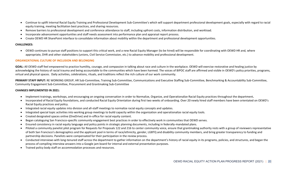- Continue to uplift Internal Racial Equity Training and Professional Development Sub-Committee's which will support department professional development goals, especially with regard to racial equity training, meeting facilitation best practices, and sharing resources.
- Remove barriers to professional development and conference attendance to staff, including upfront costs, information distribution, and workload.
- Incorporate advancement opportunities and staff needs assessment into performance plan and appraisal report process.
- Create OEWD HR SharePoint interface to consolidate information about mobility within the department and professional development opportunities.

## **CHALLENGES:**

• OEWD continues to pursue staff positions to support this critical work, and a new Racial Equity Manager (to be hired) will be responsible for coordinating with OEWD HR and, where appropriate, DHR and other stakeholders (unions, Civil Service Commission, etc.) to advance mobility and professional development.

#### **ORGANIZATIONAL CULTURE OF INCLUSION AND BELONGING**

**GOAL:** All OEWD staff feel empowered to practice humility, courage, and compassion in talking about race and culture in the workplace. OEWD will exercise restorative and healing justice by acknowledging the history of racial trauma and being accountable to the communities which have been harmed. The voices of BIPOC staff are affirmed and visible in OEWD's policy priorities, programs, virtual and physical spaces. Daily activities, celebrations, rituals, and traditions reflect the rich culture of our work community.

PRIMARY STAFF INPUT: RE WORKING GROUP, HR Sub-Committee, Training Sub-Committee, Communications and Executive Staffing Sub-Committee, Benchmarking & Accountability Sub-Committee, Community Engagement Sub-Committee, Procurement and Grantmaking Sub-Committee

#### **CHANGES IMPLEMENTED IN 2021:**

- Implement trainings, workshops, and encouraging an ongoing conversation in order to Normalize, Organize, and Operationalize Racial Equity practices throughout the department**.**
- Incorporated of Racial Equity foundations, and conducted Racial Equity Orientation during first two weeks of onboarding. Over 20 newly hired staff members have been orientated on OEWD's Racial Equity practices and policy.
- Integrated racial equity updates into division and all-staff meetings to normalize racial equity concepts and updates.
- Integrated special topic activities into working group meetings to build capacity within the organization and operationalize racial equity tools.
- Created designated spaces online (OneDrive) and in-office for racial equity content.
- Began cataloguing San Francisco-specific community engagement best practices in order to effectively work in communities that OEWD serves.
- Ensured consistency in racial equity language and policy points in strategic planning documents, including in federally-mandated plans.
- Piloted a community panelist pilot program for Requests for Proposals 122 and 216 to center community voice, ensure that grantmaking authority rests with a group of reviewers representative of both San Francisco's demographics and the applicant pool in terms of race/ethnicity, gender, LGBTQ and disability community members, and bring greater transparency to funding and partnership decisions. Panelists were compensated for their participation in the review process.
- Conducted interviews with long-tenured staff across the department to gather information on the department's history of racial equity in its programs, policies, and structures, and began the process of compiling interview answers into a Google jam board for internal and external presentation purposes.
- Trained policy body staff on accommodation processes and resources.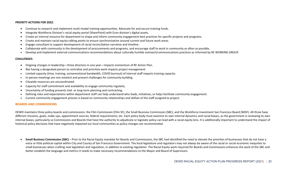#### **PRIORITY ACTIONS FOR 2022:**

- Continue to research and implement multi-modal training opportunities. Advocate for and secure training funds.
- Integrate Workforce Division's racial equity portal (SharePoint) with Econ division's digital assets.
- Create an internal resource for department to shape and inform community engagement best practices for specific projects and programs.
- Create and maintain racial equity talking points to ensure synchronization around current and future work areas.
- Engage consultant to support development of racial reconciliation narrative and timeline.
- Collaborate with community in the development of procurements and programs, and encourage staff to work in community as often as possible**.**
- Develop and implement external communications recommendations about culturally humble outreach/communications practices as informed by RE WORKING GROUP.

#### **CHALLENGES:**

- Ongoing changes in leadership—three directors in one year—impacts momentum of RE Action Plan.
- Not having a designated person to centralize and prioritize work impacts project management.
- Limited capacity (time, training, socioemotional bandwidth, COVID burnout) of internal staff impacts training capacity.
- In-person meetings are non-existent and present challenges for community building.
- Citywide resources are uncoordinated.
- Capacity for staff commitment and availability to engage community regularly.
- Uncertainty of funding prevents mid- or long-term planning and contracting.
- Defining roles and expectations within department staff can help understand who leads, initiatives, or helps facilitate community engagement.
- Current community engagement process is based on community relationships and skillset of the staff assigned to project.

#### **BOARDS AND COMMISSIONS**

OEWD maintains three policy boards and commissions: the Film Commission (Film SF), the Small Business Commission (SBC), and the Workforce Investment San Francisco Board (WISF). All three have different missions, goals, make-ups, appointment sources, federal requirements, etc. Each policy body must examine its own internal dynamics and racial biases, as the government is reviewing its own internal biases, particularly so Commissions and Boards that have the authority to adjudicate or legislate policy can lead with a racial equity lens. It is additionally important to understand the impact of historical policy decisions that have negatively impacted our local communities as policy changes are recommended.

• **Small Business Commission (SBC)** – Prior to the Racial Equity mandate for Boards and Commissions, the SBC had identified the need to elevate the priorities of businesses that do not have a voice or little political capital within City and County of San Francisco Government. The local legislature and regulators may not always be aware of the racial or social economic inequities to small businesses when crafting new legislation and regulation, in addition to existing regulation. The Racial Equity work required for Boards and Commissions enhances the work of the SBC and better establish the language and metrics it needs to make necessary recommendations to the Mayor and Board of Supervisors.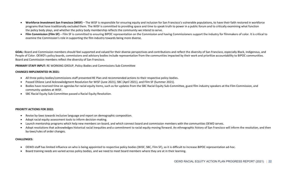- **Workforce Investment San Francisco (WISF)** The WISF is responsible for ensuring equity and inclusion for San Francisco's vulnerable populations, to have their faith restored in workforce programs that have traditionally excluded them. The WISF is committed to providing space and time to speak truth to power in a public forum and to critically examining what function the policy body plays, and whether the policy body membership reflects the community we intend to serve.
- Film Commission (Film SF) Film SF is committed to ensuring BIPOC representation on the Commission and having Commissioners support the industry for filmmakers of color. It is critical to examine the Commission's role in supporting the film industry towards being more diverse.

GOAL: Board and Commission members should feel supported and valued for their diverse perspectives and contributions and reflect the diversity of San Francisco, especially Black, Indigenous, and People of Color. OEWD's policy boards, commissions and advisory bodies include representation from the communities impacted by their work and prioritize accountability to BIPOC communities. Board and Commission members reflect the diversity of San Francisco.

**PRIMARY STAFF INPUT:** RE WORKING GROUP, Policy Bodies and Commissions Sub-Committee

#### **CHANGES IMPLEMENTED IN 2021:**

- All three policy bodies/commissions staff presented RE Plan and recommended actions to their respective policy bodies.
- Passed Ohlone Land Acknowledgment Resolution for WISF (June 2021), SBC (April 2021), and Film SF (Summer 2021).
- Bodies have reserved time on agendas for racial equity items, such as for updates from the SBC Racial Equity Sub-Committee, guest film industry speakers at the Film Commission, and community updates at WISF.
- SBC Racial Equity Sub-Committee passed a Racial Equity Resolution.

#### **PRIORITY ACTIONS FOR 2022:**

- Revise by-laws towards inclusive language and report on demographic composition.
- Adopt racial equity assessment tools to inform decision-making.
- Launch mentorship programs which help new members on-board, and which connect board and commission members with the communities OEWD serves.
- Adopt resolutions that acknowledges historical racial inequities and a commitment to racial equity moving forward. An ethnographic history of San Francisco will inform the resolution, and then by-laws/rules of order changes.

#### **CHALLENGES:**

- OEWD staff has limited influence on who is being appointed to respective policy bodies (WISF, SBC, Film SF), so it is difficult to increase BIPOC representation ad-hoc.
- Board training needs are varied across policy bodies, and we need to meet board members where they are at in their learning.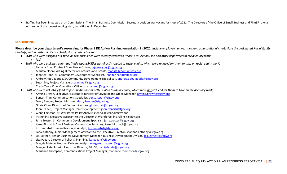• Staffing has been impacted at all Commissions. The Small Business Commission Secretary position was vacant for most of 2021. The Directors of the Office of Small Business and FilmSF , along with some of the longest serving staff, transitioned in December.

## **RESOURCING**

Please describe your department's resourcing for Phase 1 RE Action Plan implementation in 2021. *Include employee names, titles, and organizational chart.* Note the designated Racial Equity *Leader(s) with an asterisk. Please clearly distinguish between:*

- *Staff who were assigned full-time (all responsibilities were directly related to Phase 1 RE Action Plan and other departmental racial equity work)*
	- o *N/A*
- Staff who were assigned part-time (had responsibilities not directly related to racial equity, which were reduced for them to take on racial equity work)
	- o Tajuana Gray, Contract Compliance Officer, [tajuana.gray@sfgov.org](mailto:tajuana.gray@sfgov.org)
	- o Marissa Bloom, Acting Director of Contracts and Grants, [marissa.bloom@sfgov.org](mailto:marissa.bloom@sfgov.org)
	- o Jennifer Hand, Sr. Community Development Specialist, [jennifer.hand@sfgov.org](mailto:jennifer.hand@sfgov.org)
	- o Andrew Abou Jaoude, Sr. Community Development Specialist II, [andrew.aboujaoude@sfgov.org](mailto:andrew.aboujaoude@sfgov.org)
	- o Susan Ma, Project Manager, [susan.ma@sfgov.org](mailto:susan.ma@sfgov.org)
	- o Crezia Tano, Chief Operations Officer, [crezia.tano@sfgov.org](mailto:crezia.tano@sfgov.org)
- Staff who were voluntary (had responsibilities not directly related to racial equity, which were not reduced for them to take on racial equity work)
	- o Armina Brown, Executive Assistant to Director of CityBuild and Office Manager, [armina.brown@sfgov.org](mailto:armina.brown@sfgov.org)
	- o Benson Tran, Communications Specialist, [benson.tran@sfgov.org](mailto:benson.tran@sfgov.org)
	- o Darcy Bender, Project Manager, [darcy.bender@sfgov.org](mailto:darcy.bender@sfgov.org)
	- Gloria Chan, Director of Communications, [gloria.chan@sfgov.org](mailto:gloria.chan@sfgov.org)
	- o John Francis, Project Manager, Joint Development, [john.francis@sfgov.org](mailto:john.francis@sfgov.org)
	- o Glenn Eagleson, Sr. Workforce Policy Analyst, glenn.eagleson@sfgov.org
	- Iris Rollins, Executive Assistant to the Director of Workforce, iris.rollins@sfgov.org
	- o Jerry Trotter, Sr. Community Development Specialist, [jerry.trotter@sfgov.org](mailto:jerry.trotter@sfgov.org)
	- o Kerry Birnbach, Small Business Commission Secretary, kerry.birnbach@sfgov.org
	- o Kristen Erbst, Human Resources Analyst, [kristen.erbst@sfgov.org](mailto:kristen.erbst@sfgov.org)
	- o Lana Anthony, Junior Management Assistant to the Executive Director, sharlana.anthony@sfgov.org
	- o Lex Leifheit, Senior Business Development Manager, Business Development Division, [lex.leifheit@sfgov.org](mailto:lex.leifheit@sfgov.org)
	- o Lisa Pagan, Director of Policy & Planning[, lisa.pagan@sfgov.org](mailto:lisa.pagan@sfgov.org)
	- Maggie Matson, Housing Delivery Analyst, [margaret.mattson@sfgov.org](mailto:margaret.mattson@sfgov.org)
	- o Manijeh Fata, Interim Executive Director, FilmSF, [manijeh.fata@sfgov.org](mailto:manijeh.fata@sfgov.org)
	- o Marianne Thompson, Communications Project Manager, [marianne.thompson@sfgov.org](mailto:marianne.thompson@sfgov.org)